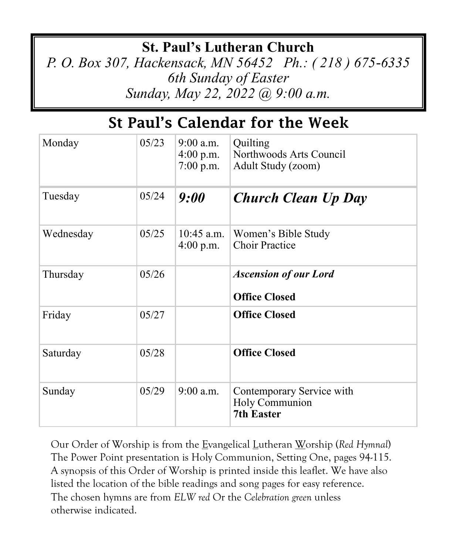## **St. Paul's Lutheran Church**

*P. O. Box 307, Hackensack, MN 56452 Ph.: ( 218 ) 675-6335 6th Sunday of Easter Sunday, May 22, 2022 @ 9:00 a.m.*

# St Paul's Calendar for the Week

| Monday    | 05/23 | $9:00$ a.m.<br>$4:00$ p.m.<br>$7:00$ p.m. | Quilting<br>Northwoods Arts Council<br>Adult Study (zoom)        |
|-----------|-------|-------------------------------------------|------------------------------------------------------------------|
| Tuesday   | 05/24 | 9:00                                      | <b>Church Clean Up Day</b>                                       |
| Wednesday | 05/25 | $10:45$ a.m.<br>$4:00$ p.m.               | Women's Bible Study<br><b>Choir Practice</b>                     |
| Thursday  | 05/26 |                                           | <b>Ascension of our Lord</b><br><b>Office Closed</b>             |
| Friday    | 05/27 |                                           | <b>Office Closed</b>                                             |
| Saturday  | 05/28 |                                           | <b>Office Closed</b>                                             |
| Sunday    | 05/29 | $9:00$ a.m.                               | Contemporary Service with<br>Holy Communion<br><b>7th Easter</b> |

Our Order of Worship is from the Evangelical Lutheran Worship (*Red Hymnal*) The Power Point presentation is Holy Communion, Setting One, pages 94-115. A synopsis of this Order of Worship is printed inside this leaflet. We have also listed the location of the bible readings and song pages for easy reference. The chosen hymns are from *ELW red* Or the *Celebration green* unless otherwise indicated.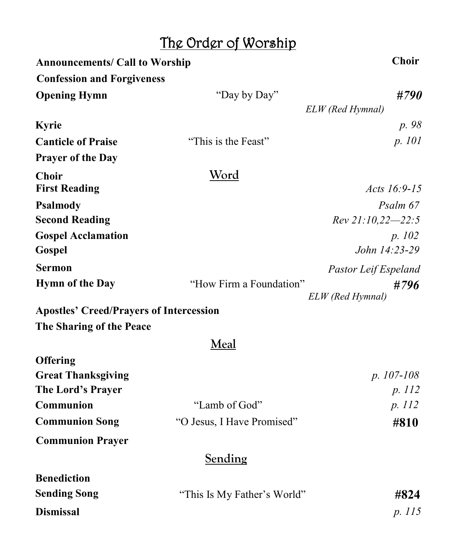# The Order of Worship

| <b>Announcements/ Call to Worship</b>          | <b>Choir</b>                |                      |
|------------------------------------------------|-----------------------------|----------------------|
| <b>Confession and Forgiveness</b>              |                             |                      |
| <b>Opening Hymn</b>                            | "Day by Day"                | #790                 |
|                                                |                             | ELW (Red Hymnal)     |
| <b>Kyrie</b>                                   |                             | p. 98                |
| <b>Canticle of Praise</b>                      | "This is the Feast"         | p. 101               |
| <b>Prayer of the Day</b>                       |                             |                      |
| <b>Choir</b>                                   | Word                        |                      |
| <b>First Reading</b>                           |                             | Acts 16:9-15         |
| <b>Psalmody</b>                                |                             | Psalm 67             |
| <b>Second Reading</b>                          |                             | Rev 21:10,22-22:5    |
| <b>Gospel Acclamation</b>                      |                             | p. 102               |
| Gospel                                         |                             | John 14:23-29        |
| <b>Sermon</b>                                  |                             | Pastor Leif Espeland |
| <b>Hymn of the Day</b>                         | "How Firm a Foundation"     | #796                 |
|                                                |                             | ELW (Red Hymnal)     |
| <b>Apostles' Creed/Prayers of Intercession</b> |                             |                      |
| The Sharing of the Peace                       |                             |                      |
|                                                | Meal                        |                      |
| <b>Offering</b>                                |                             |                      |
| <b>Great Thanksgiving</b>                      |                             | p. 107-108           |
| The Lord's Prayer                              |                             | p. 112               |
| Communion                                      | "Lamb of God"               | p. 112               |
| <b>Communion Song</b>                          | "O Jesus, I Have Promised"  | #810                 |
| <b>Communion Prayer</b>                        |                             |                      |
|                                                | Sending                     |                      |
| <b>Benediction</b>                             |                             |                      |
| <b>Sending Song</b>                            | "This Is My Father's World" | #824                 |
| <b>Dismissal</b>                               |                             | p. 115               |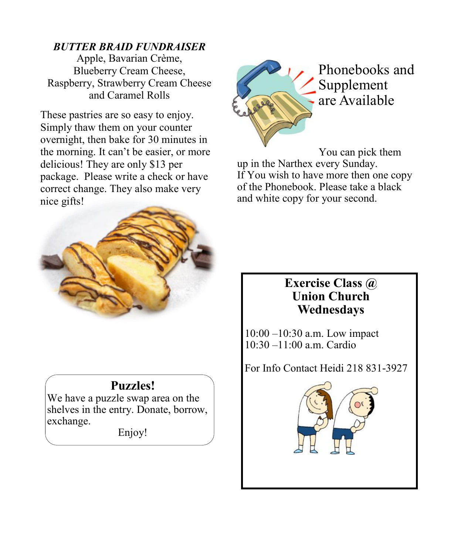#### *BUTTER BRAID FUNDRAISER*

Apple, Bavarian Crème, Blueberry Cream Cheese, Raspberry, Strawberry Cream Cheese and Caramel Rolls

These pastries are so easy to enjoy. Simply thaw them on your counter overnight, then bake for 30 minutes in the morning. It can't be easier, or more delicious! They are only \$13 per package. Please write a check or have correct change. They also make very nice gifts!



### **Puzzles!**

We have a puzzle swap area on the shelves in the entry. Donate, borrow, exchange.

Enjoy!



Phonebooks and Supplement are Available

You can pick them up in the Narthex every Sunday. If You wish to have more then one copy of the Phonebook. Please take a black and white copy for your second.

#### **Exercise Class @ Union Church Wednesdays**

10:00 –10:30 a.m. Low impact 10:30 –11:00 a.m. Cardio

For Info Contact Heidi 218 831-3927